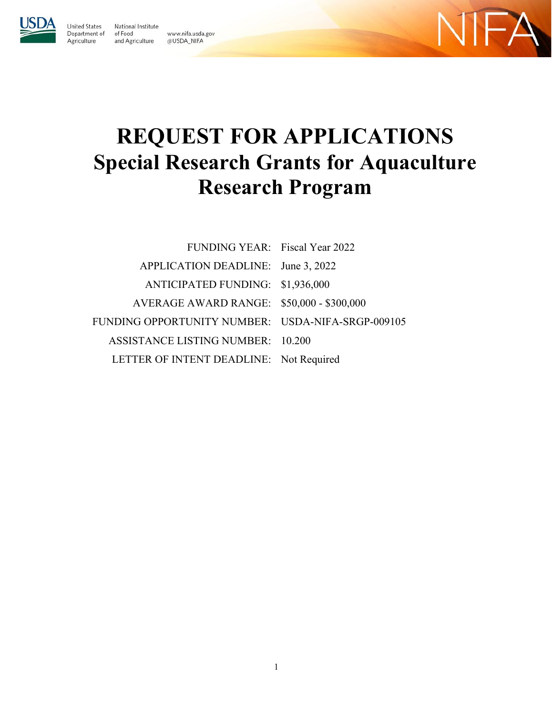

**United States** 

Agriculture

Department of

National Institute of Food www.nifa.usda.gov and Agriculture @USDA\_NIFA

 $-\Delta$ 

# **REQUEST FOR APPLICATIONS Special Research Grants for Aquaculture Research Program**

| FUNDING YEAR: Fiscal Year 2022                    |  |
|---------------------------------------------------|--|
| APPLICATION DEADLINE: June 3, 2022                |  |
| ANTICIPATED FUNDING: \$1,936,000                  |  |
| AVERAGE AWARD RANGE: \$50,000 - \$300,000         |  |
| FUNDING OPPORTUNITY NUMBER: USDA-NIFA-SRGP-009105 |  |
| ASSISTANCE LISTING NUMBER: 10.200                 |  |
| LETTER OF INTENT DEADLINE: Not Required           |  |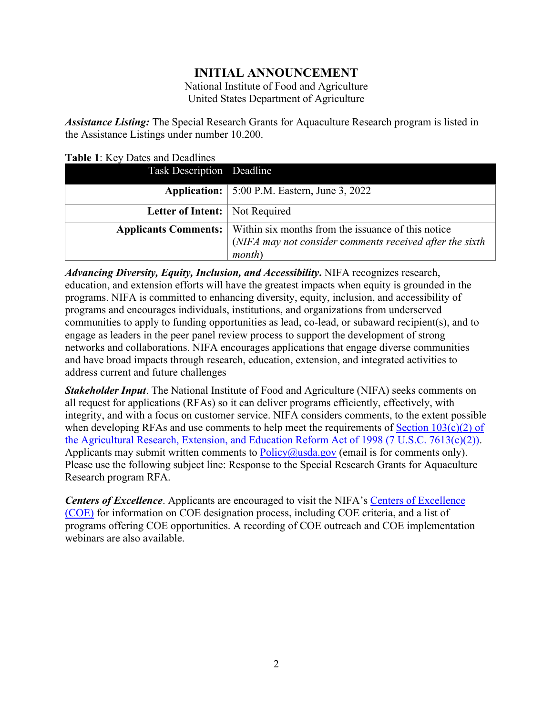# **INITIAL ANNOUNCEMENT**

National Institute of Food and Agriculture United States Department of Agriculture

*Assistance Listing:* The Special Research Grants for Aquaculture Research program is listed in the Assistance Listings under number 10.200.

<span id="page-1-0"></span>**Table 1**: Key Dates and Deadlines

| Task Description Deadline        |                                                                                                                                                 |
|----------------------------------|-------------------------------------------------------------------------------------------------------------------------------------------------|
|                                  | <b>Application:</b> $\vert$ 5:00 P.M. Eastern, June 3, 2022                                                                                     |
| Letter of Intent:   Not Required |                                                                                                                                                 |
|                                  | Applicants Comments:   Within six months from the issuance of this notice<br>(NIFA may not consider comments received after the sixth<br>month) |

*Advancing Diversity, Equity, Inclusion, and Accessibility***.** NIFA recognizes research, education, and extension efforts will have the greatest impacts when equity is grounded in the programs. NIFA is committed to enhancing diversity, equity, inclusion, and accessibility of programs and encourages individuals, institutions, and organizations from underserved communities to apply to funding opportunities as lead, co-lead, or subaward recipient(s), and to engage as leaders in the peer panel review process to support the development of strong networks and collaborations. NIFA encourages applications that engage diverse communities and have broad impacts through research, education, extension, and integrated activities to address current and future challenges

*Stakeholder Input*. The National Institute of Food and Agriculture (NIFA) seeks comments on all request for applications (RFAs) so it can deliver programs efficiently, effectively, with integrity, and with a focus on customer service. NIFA considers comments, to the extent possible when developing RFAs and use comments to help meet the requirements of Section  $103(c)(2)$  of [the Agricultural Research, Extension, and Education Reform Act of 1998](https://nifa.usda.gov/resource/agricultural-research-extension-and-education-reform-act-1998) [\(7 U.S.C. 7613\(c\)\(2\)\).](https://uscode.house.gov/view.xhtml?req=(title:7%20section:7613%20edition:prelim)%20OR%20(granuleid:USC-prelim-title7-section7613)&f=treesort&edition=prelim&num=0&jumpTo=true) Applicants may submit written comments to  $Policy@usda.gov$  (email is for comments only). Please use the following subject line: Response to the Special Research Grants for Aquaculture Research program RFA.

**Centers of Excellence**. Applicants are encouraged to visit the NIFA's Centers of Excellence [\(COE\)](https://nifa.usda.gov/centers-excellence) for information on COE designation process, including COE criteria, and a list of programs offering COE opportunities. A recording of COE outreach and COE implementation webinars are also available.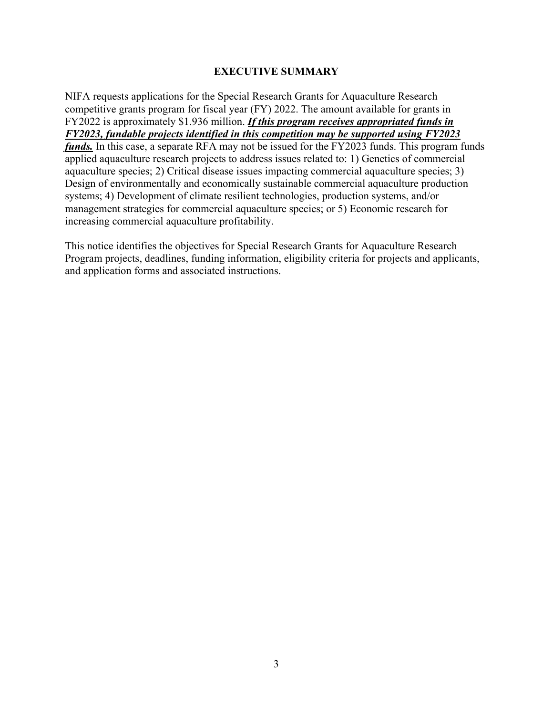#### **EXECUTIVE SUMMARY**

<span id="page-2-0"></span>NIFA requests applications for the Special Research Grants for Aquaculture Research competitive grants program for fiscal year (FY) 2022. The amount available for grants in FY2022 is approximately \$1.936 million. *If this program receives appropriated funds in FY2023, fundable projects identified in this competition may be supported using FY2023 funds.* In this case, a separate RFA may not be issued for the FY2023 funds. This program funds applied aquaculture research projects to address issues related to: 1) Genetics of commercial aquaculture species; 2) Critical disease issues impacting commercial aquaculture species; 3) Design of environmentally and economically sustainable commercial aquaculture production systems; 4) Development of climate resilient technologies, production systems, and/or management strategies for commercial aquaculture species; or 5) Economic research for increasing commercial aquaculture profitability.

This notice identifies the objectives for Special Research Grants for Aquaculture Research Program projects, deadlines, funding information, eligibility criteria for projects and applicants, and application forms and associated instructions.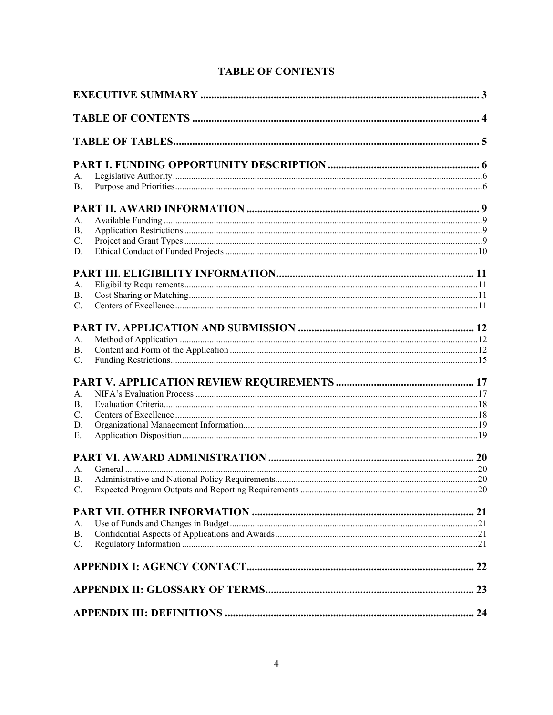<span id="page-3-0"></span>

| А. |  |
|----|--|
| В. |  |
|    |  |
| А. |  |
| В. |  |
| C. |  |
| D. |  |
|    |  |
| А. |  |
| В. |  |
| C. |  |
|    |  |
| A. |  |
| В. |  |
| C. |  |
|    |  |
| А. |  |
| В. |  |
| C. |  |
| D. |  |
| Е. |  |
|    |  |
| А. |  |
| B. |  |
|    |  |
|    |  |
| А. |  |
| В. |  |
| C. |  |
|    |  |
|    |  |
|    |  |
|    |  |

# **TABLE OF CONTENTS**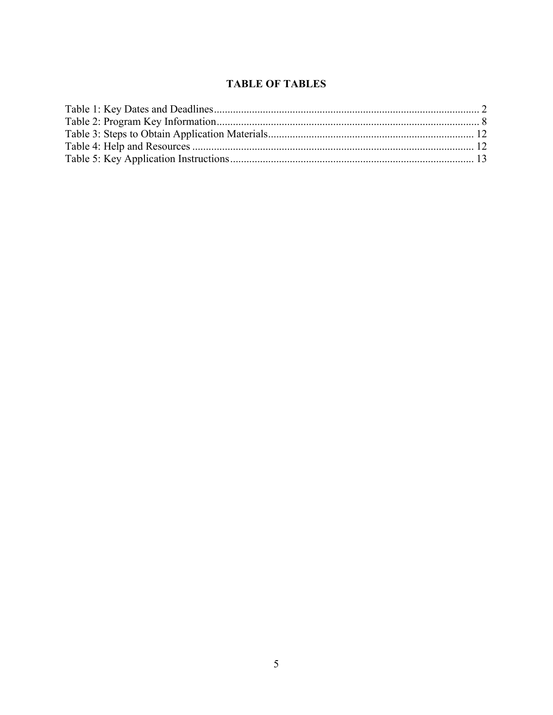## **TABLE OF TABLES**

<span id="page-4-0"></span>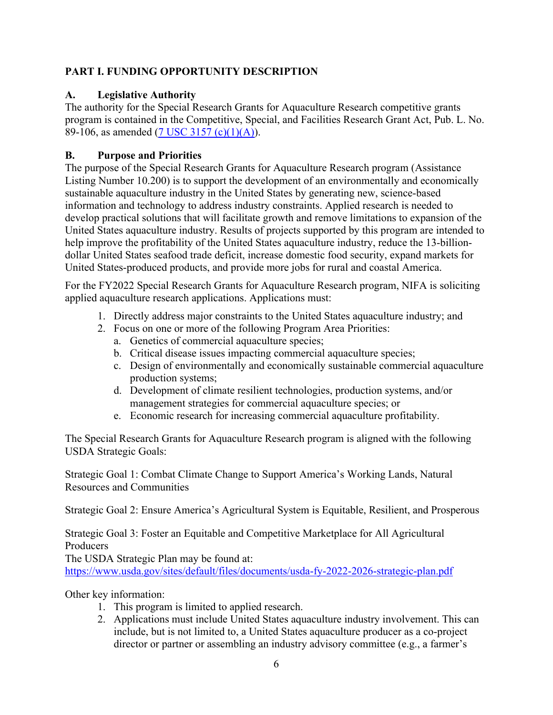## <span id="page-5-0"></span>**PART I. FUNDING OPPORTUNITY DESCRIPTION**

## <span id="page-5-1"></span>**A. Legislative Authority**

The authority for the Special Research Grants for Aquaculture Research competitive grants program is contained in the Competitive, Special, and Facilities Research Grant Act, Pub. L. No. 89-106, as amended [\(7 USC 3157 \(c\)\(1\)\(A\)\)](https://uscode.house.gov/view.xhtml?req=(title:7%20section:3157%20%20edition:prelim)%20OR%20(granuleid:USC-prelim-title7-section3157%20)&f=treesort&edition=prelim&num=0&jumpTo=true#substructure-location_c).

## <span id="page-5-2"></span>**B. Purpose and Priorities**

The purpose of the Special Research Grants for Aquaculture Research program (Assistance Listing Number 10.200) is to support the development of an environmentally and economically sustainable aquaculture industry in the United States by generating new, science-based information and technology to address industry constraints. Applied research is needed to develop practical solutions that will facilitate growth and remove limitations to expansion of the United States aquaculture industry. Results of projects supported by this program are intended to help improve the profitability of the United States aquaculture industry, reduce the 13-billiondollar United States seafood trade deficit, increase domestic food security, expand markets for United States-produced products, and provide more jobs for rural and coastal America.

For the FY2022 Special Research Grants for Aquaculture Research program, NIFA is soliciting applied aquaculture research applications. Applications must:

- 1. Directly address major constraints to the United States aquaculture industry; and
- 2. Focus on one or more of the following Program Area Priorities:
	- a. Genetics of commercial aquaculture species;
	- b. Critical disease issues impacting commercial aquaculture species;
	- c. Design of environmentally and economically sustainable commercial aquaculture production systems;
	- d. Development of climate resilient technologies, production systems, and/or management strategies for commercial aquaculture species; or
	- e. Economic research for increasing commercial aquaculture profitability.

The Special Research Grants for Aquaculture Research program is aligned with the following USDA Strategic Goals:

Strategic Goal 1: Combat Climate Change to Support America's Working Lands, Natural Resources and Communities

Strategic Goal 2: Ensure America's Agricultural System is Equitable, Resilient, and Prosperous

Strategic Goal 3: Foster an Equitable and Competitive Marketplace for All Agricultural Producers

The USDA Strategic Plan may be found at:

<https://www.usda.gov/sites/default/files/documents/usda-fy-2022-2026-strategic-plan.pdf>

Other key information:

- 1. This program is limited to applied research.
- 2. Applications must include United States aquaculture industry involvement. This can include, but is not limited to, a United States aquaculture producer as a co-project director or partner or assembling an industry advisory committee (e.g., a farmer's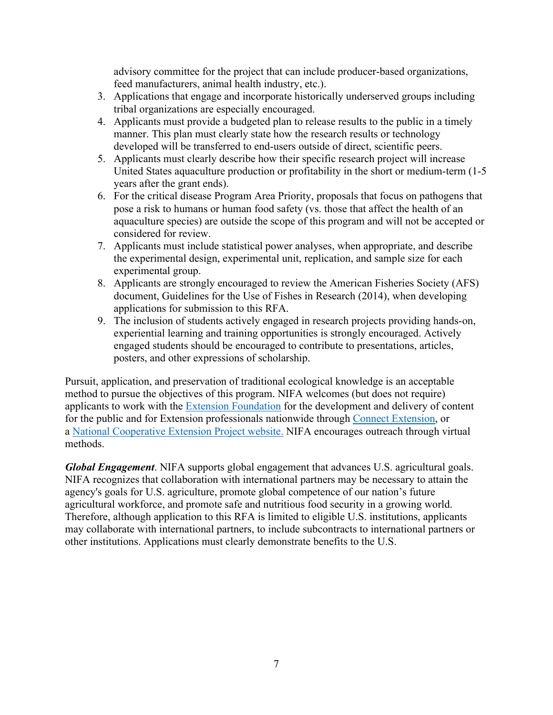advisory committee for the project that can include producer-based organizations, feed manufacturers, animal health industry, etc.).

- 3. Applications that engage and incorporate historically underserved groups including tribal organizations are especially encouraged.
- 4. Applicants must provide a budgeted plan to release results to the public in a timely manner. This plan must clearly state how the research results or technology developed will be transferred to end-users outside of direct, scientific peers.
- 5. Applicants must clearly describe how their specific research project will increase United States aquaculture production or profitability in the short or medium-term (1-5 years after the grant ends).
- 6. For the critical disease Program Area Priority, proposals that focus on pathogens that pose a risk to humans or human food safety (vs. those that affect the health of an aquaculture species) are outside the scope of this program and will not be accepted or considered for review.
- 7. Applicants must include statistical power analyses, when appropriate, and describe the experimental design, experimental unit, replication, and sample size for each experimental group.
- 8. Applicants are strongly encouraged to review the American Fisheries Society (AFS) document, Guidelines for the Use of Fishes in Research (2014), when developing applications for submission to this RFA.
- 9. The inclusion of students actively engaged in research projects providing hands-on, experiential learning and training opportunities is strongly encouraged. Actively engaged students should be encouraged to contribute to presentations, articles, posters, and other expressions of scholarship.

Pursuit, application, and preservation of traditional ecological knowledge is an acceptable method to pursue the objectives of this program. NIFA welcomes (but does not require) applicants to work with the [Extension Foundation](https://gcc02.safelinks.protection.outlook.com/?url=http%3A%2F%2Fextension.org%2F&data=04%7C01%7C%7Ca20ab3b70b594250729308d9b8d16d39%7Ced5b36e701ee4ebc867ee03cfa0d4697%7C0%7C0%7C637744031880128218%7CUnknown%7CTWFpbGZsb3d8eyJWIjoiMC4wLjAwMDAiLCJQIjoiV2luMzIiLCJBTiI6Ik1haWwiLCJXVCI6Mn0%3D%7C3000&sdata=O1FPITwYnPL9bUoa6KlWT3HGCAodXoe4WabAWYMPwUs%3D&reserved=0) for the development and delivery of content for the public and for Extension professionals nationwide through [Connect Extension,](https://gcc02.safelinks.protection.outlook.com/?url=http%3A%2F%2Fconnect.extension.org%2F&data=04%7C01%7C%7Ca20ab3b70b594250729308d9b8d16d39%7Ced5b36e701ee4ebc867ee03cfa0d4697%7C0%7C0%7C637744031880128218%7CUnknown%7CTWFpbGZsb3d8eyJWIjoiMC4wLjAwMDAiLCJQIjoiV2luMzIiLCJBTiI6Ik1haWwiLCJXVCI6Mn0%3D%7C3000&sdata=BvJWf0GqWsEOZBxeTIFyE0pVGEuxR95tkXzOccIQKeA%3D&reserved=0) or a [National Cooperative Extension Project website.](https://gcc02.safelinks.protection.outlook.com/?url=https%3A%2F%2Fextension.org%2Fnational-cooperative-extension-projects%2F&data=04%7C01%7C%7Ca20ab3b70b594250729308d9b8d16d39%7Ced5b36e701ee4ebc867ee03cfa0d4697%7C0%7C0%7C637744031880128218%7CUnknown%7CTWFpbGZsb3d8eyJWIjoiMC4wLjAwMDAiLCJQIjoiV2luMzIiLCJBTiI6Ik1haWwiLCJXVCI6Mn0%3D%7C3000&sdata=%2BNLyg2ocosC8NESorX3VwJSeDDNnw9IturIgC2JMlNk%3D&reserved=0) NIFA encourages outreach through virtual methods.

*Global Engagement*. NIFA supports global engagement that advances U.S. agricultural goals. NIFA recognizes that collaboration with international partners may be necessary to attain the agency's goals for U.S. agriculture, promote global competence of our nation's future agricultural workforce, and promote safe and nutritious food security in a growing world. Therefore, although application to this RFA is limited to eligible U.S. institutions, applicants may collaborate with international partners, to include subcontracts to international partners or other institutions. Applications must clearly demonstrate benefits to the U.S.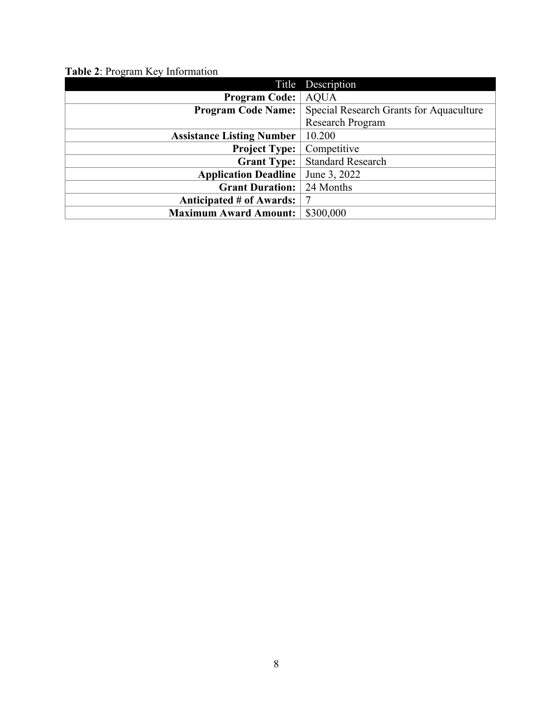<span id="page-7-0"></span>

| Table 2: Program Key Information |  |  |  |  |
|----------------------------------|--|--|--|--|
|----------------------------------|--|--|--|--|

|                                  | Title Description                       |
|----------------------------------|-----------------------------------------|
| <b>Program Code:</b>             | <b>AQUA</b>                             |
| <b>Program Code Name:</b>        | Special Research Grants for Aquaculture |
|                                  | <b>Research Program</b>                 |
| <b>Assistance Listing Number</b> | 10.200                                  |
| <b>Project Type:</b>             | Competitive                             |
| <b>Grant Type:</b>               | <b>Standard Research</b>                |
| <b>Application Deadline</b>      | June 3, 2022                            |
| <b>Grant Duration:</b>           | 24 Months                               |
| Anticipated # of Awards:         |                                         |
| <b>Maximum Award Amount:</b>     | \$300,000                               |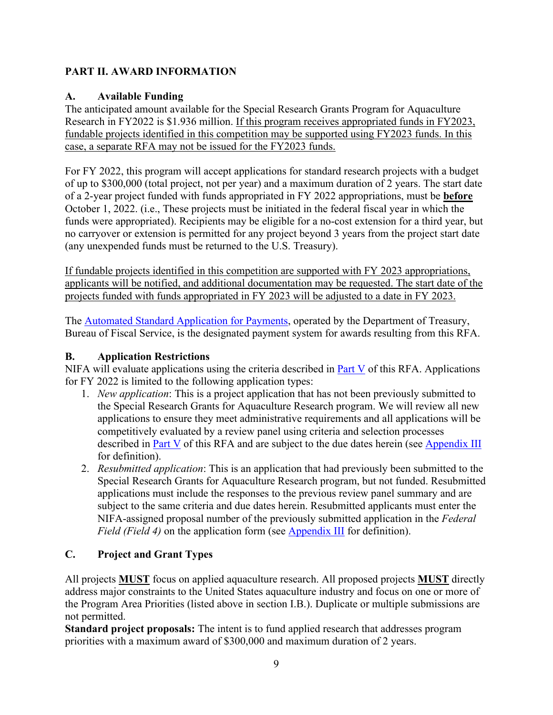## <span id="page-8-0"></span>**PART II. AWARD INFORMATION**

## <span id="page-8-1"></span>**A. Available Funding**

The anticipated amount available for the Special Research Grants Program for Aquaculture Research in FY2022 is \$1.936 million. If this program receives appropriated funds in FY2023, fundable projects identified in this competition may be supported using FY2023 funds. In this case, a separate RFA may not be issued for the FY2023 funds.

For FY 2022, this program will accept applications for standard research projects with a budget of up to \$300,000 (total project, not per year) and a maximum duration of 2 years. The start date of a 2-year project funded with funds appropriated in FY 2022 appropriations, must be **before** October 1, 2022. (i.e., These projects must be initiated in the federal fiscal year in which the funds were appropriated). Recipients may be eligible for a no-cost extension for a third year, but no carryover or extension is permitted for any project beyond 3 years from the project start date (any unexpended funds must be returned to the U.S. Treasury).

If fundable projects identified in this competition are supported with FY 2023 appropriations, applicants will be notified, and additional documentation may be requested. The start date of the projects funded with funds appropriated in FY 2023 will be adjusted to a date in FY 2023.

The [Automated Standard Application for Payments,](https://www.fiscal.treasury.gov/fsservices/gov/pmt/asap/asap_home.htm) operated by the Department of Treasury, Bureau of Fiscal Service, is the designated payment system for awards resulting from this RFA.

## <span id="page-8-2"></span>**B. Application Restrictions**

NIFA will evaluate applications using the criteria described in  $Part V$  of this RFA. Applications for FY 2022 is limited to the following application types:

- 1. *New application*: This is a project application that has not been previously submitted to the Special Research Grants for Aquaculture Research program. We will review all new applications to ensure they meet administrative requirements and all applications will be competitively evaluated by a review panel using criteria and selection processes described in [Part V](#page-16-0) of this RFA and are subject to the due dates herein (see [Appendix III](#page-23-0) for definition).
- 2. *Resubmitted application*: This is an application that had previously been submitted to the Special Research Grants for Aquaculture Research program, but not funded. Resubmitted applications must include the responses to the previous review panel summary and are subject to the same criteria and due dates herein. Resubmitted applicants must enter the NIFA-assigned proposal number of the previously submitted application in the *Federal Field (Field 4)* on the application form (see [Appendix III](#page-23-0) for definition).

# <span id="page-8-3"></span>**C. Project and Grant Types**

All projects **MUST** focus on applied aquaculture research. All proposed projects **MUST** directly address major constraints to the United States aquaculture industry and focus on one or more of the Program Area Priorities (listed above in section I.B.). Duplicate or multiple submissions are not permitted.

**Standard project proposals:** The intent is to fund applied research that addresses program priorities with a maximum award of \$300,000 and maximum duration of 2 years.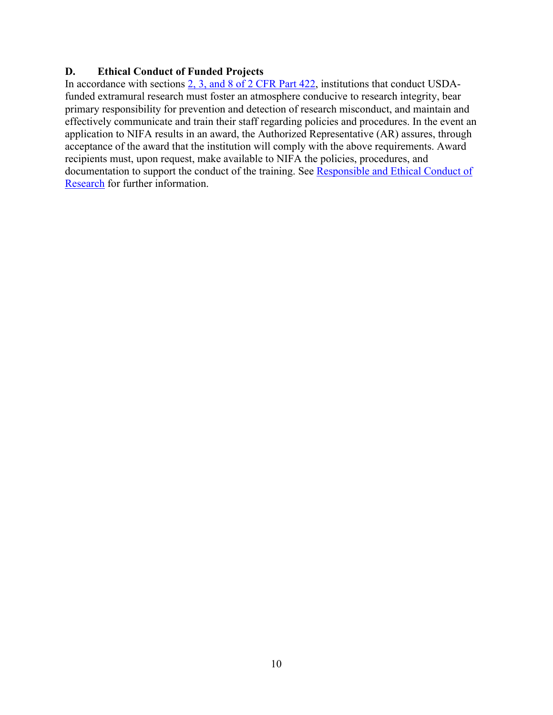#### <span id="page-9-0"></span>**D. Ethical Conduct of Funded Projects**

In accordance with sections [2, 3, and 8 of 2 CFR Part 422,](https://www.ecfr.gov/cgi-bin/text-idx?SID=3f96ab05cf1fc2d2713e5e46755e7696&mc=true&node=pt2.1.422&rgn=div5#se2.1.422_12) institutions that conduct USDAfunded extramural research must foster an atmosphere conducive to research integrity, bear primary responsibility for prevention and detection of research misconduct, and maintain and effectively communicate and train their staff regarding policies and procedures. In the event an application to NIFA results in an award, the Authorized Representative (AR) assures, through acceptance of the award that the institution will comply with the above requirements. Award recipients must, upon request, make available to NIFA the policies, procedures, and documentation to support the conduct of the training. See [Responsible and Ethical Conduct of](https://nifa.usda.gov/responsible-and-ethical-conduct-research)  [Research](https://nifa.usda.gov/responsible-and-ethical-conduct-research) for further information.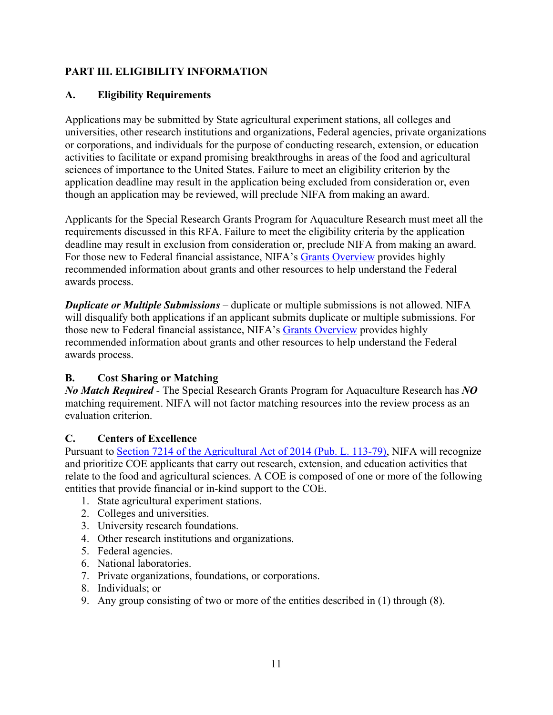## <span id="page-10-0"></span>**PART III. ELIGIBILITY INFORMATION**

#### <span id="page-10-1"></span>**A. Eligibility Requirements**

Applications may be submitted by State agricultural experiment stations, all colleges and universities, other research institutions and organizations, Federal agencies, private organizations or corporations, and individuals for the purpose of conducting research, extension, or education activities to facilitate or expand promising breakthroughs in areas of the food and agricultural sciences of importance to the United States. Failure to meet an eligibility criterion by the application deadline may result in the application being excluded from consideration or, even though an application may be reviewed, will preclude NIFA from making an award.

Applicants for the Special Research Grants Program for Aquaculture Research must meet all the requirements discussed in this RFA. Failure to meet the eligibility criteria by the application deadline may result in exclusion from consideration or, preclude NIFA from making an award. For those new to Federal financial assistance, NIFA's [Grants Overview](https://nifa.usda.gov/resource/grants-overview) provides highly recommended information about grants and other resources to help understand the Federal awards process.

*Duplicate or Multiple Submissions* – duplicate or multiple submissions is not allowed. NIFA will disqualify both applications if an applicant submits duplicate or multiple submissions. For those new to Federal financial assistance, NIFA's [Grants Overview](https://nifa.usda.gov/resource/grants-overview) provides highly recommended information about grants and other resources to help understand the Federal awards process.

## <span id="page-10-2"></span>**B. Cost Sharing or Matching**

*No Match Required* - The Special Research Grants Program for Aquaculture Research has *NO* matching requirement. NIFA will not factor matching resources into the review process as an evaluation criterion.

## <span id="page-10-3"></span>**C. Centers of Excellence**

Pursuant to [Section 7214 of the Agricultural Act of 2014 \(Pub. L. 113-79\),](https://www.govinfo.gov/content/pkg/PLAW-113publ79/html/PLAW-113publ79.htm) NIFA will recognize and prioritize COE applicants that carry out research, extension, and education activities that relate to the food and agricultural sciences. A COE is composed of one or more of the following entities that provide financial or in-kind support to the COE.

- 1. State agricultural experiment stations.
- 2. Colleges and universities.
- 3. University research foundations.
- 4. Other research institutions and organizations.
- 5. Federal agencies.
- 6. National laboratories.
- 7. Private organizations, foundations, or corporations.
- 8. Individuals; or
- 9. Any group consisting of two or more of the entities described in (1) through (8).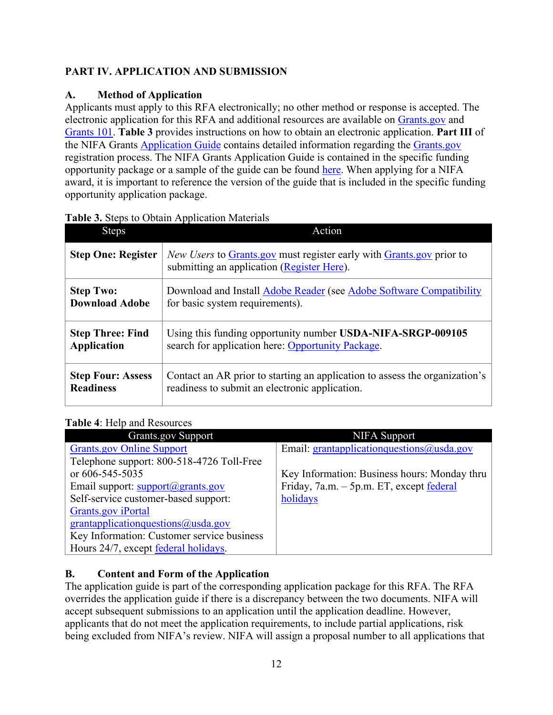## <span id="page-11-0"></span>**PART IV. APPLICATION AND SUBMISSION**

## <span id="page-11-1"></span>**A. Method of Application**

Applicants must apply to this RFA electronically; no other method or response is accepted. The electronic application for this RFA and additional resources are available on [Grants.gov](https://www.grants.gov/) and [Grants 101.](https://www.grants.gov/web/grants/learn-grants/grants-101/pre-award-phase.html/) **Table 3** provides instructions on how to obtain an electronic application. **Part III** of the NIFA Grants [Application Guide](https://nifa.usda.gov/resource/nifa-grantsgov-application-guide) contains detailed information regarding the [Grants.gov](https://www.grants.gov/) registration process. The NIFA Grants Application Guide is contained in the specific funding opportunity package or a sample of the guide can be found [here.](https://nifa.usda.gov/resource/nifa-grantsgov-application-guide) When applying for a NIFA award, it is important to reference the version of the guide that is included in the specific funding opportunity application package.

| <b>Steps</b>              | Action                                                                                                             |
|---------------------------|--------------------------------------------------------------------------------------------------------------------|
| <b>Step One: Register</b> | New Users to Grants gov must register early with Grants gov prior to<br>submitting an application (Register Here). |
| <b>Step Two:</b>          | Download and Install Adobe Reader (see Adobe Software Compatibility                                                |
| <b>Download Adobe</b>     | for basic system requirements).                                                                                    |
| <b>Step Three: Find</b>   | Using this funding opportunity number USDA-NIFA-SRGP-009105                                                        |
| <b>Application</b>        | search for application here: Opportunity Package.                                                                  |
| <b>Step Four: Assess</b>  | Contact an AR prior to starting an application to assess the organization's                                        |
| <b>Readiness</b>          | readiness to submit an electronic application.                                                                     |

## <span id="page-11-3"></span>**Table 3.** Steps to Obtain Application Materials

## <span id="page-11-4"></span>**Table 4**: Help and Resources

| <b>Grants.gov Support</b>                        | NIFA Support                                 |
|--------------------------------------------------|----------------------------------------------|
| <b>Grants.gov Online Support</b>                 | Email: grantapplicationquestions@usda.gov    |
| Telephone support: 800-518-4726 Toll-Free        |                                              |
| or 606-545-5035                                  | Key Information: Business hours: Monday thru |
| Email support: $support(\mathcal{Q})$ grants.gov | Friday, 7a.m. – 5p.m. ET, except federal     |
| Self-service customer-based support:             | holidays                                     |
| <b>Grants.gov</b> iPortal                        |                                              |
| grantapplicationquestions@usda.gov               |                                              |
| Key Information: Customer service business       |                                              |
| Hours 24/7, except federal holidays.             |                                              |

# <span id="page-11-2"></span>**B. Content and Form of the Application**

The application guide is part of the corresponding application package for this RFA. The RFA overrides the application guide if there is a discrepancy between the two documents. NIFA will accept subsequent submissions to an application until the application deadline. However, applicants that do not meet the application requirements, to include partial applications, risk being excluded from NIFA's review. NIFA will assign a proposal number to all applications that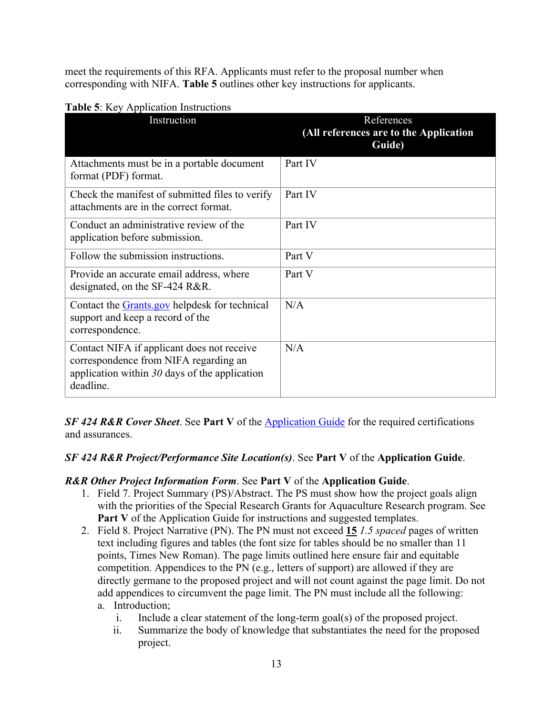meet the requirements of this RFA. Applicants must refer to the proposal number when corresponding with NIFA. **Table 5** outlines other key instructions for applicants.

| Instruction                                                                                                                                         | References<br>(All references are to the Application<br>Guide) |
|-----------------------------------------------------------------------------------------------------------------------------------------------------|----------------------------------------------------------------|
| Attachments must be in a portable document<br>format (PDF) format.                                                                                  | Part IV                                                        |
| Check the manifest of submitted files to verify<br>attachments are in the correct format.                                                           | Part IV                                                        |
| Conduct an administrative review of the<br>application before submission.                                                                           | Part IV                                                        |
| Follow the submission instructions.                                                                                                                 | Part V                                                         |
| Provide an accurate email address, where<br>designated, on the SF-424 R&R.                                                                          | Part V                                                         |
| Contact the Grants gov helpdesk for technical<br>support and keep a record of the<br>correspondence.                                                | N/A                                                            |
| Contact NIFA if applicant does not receive<br>correspondence from NIFA regarding an<br>application within $30$ days of the application<br>deadline. | N/A                                                            |

#### <span id="page-12-0"></span>**Table 5**: Key Application Instructions

*SF 424 R&R Cover Sheet*. See **Part V** of the [Application Guide](https://nifa.usda.gov/resource/nifa-grantsgov-application-guide) for the required certifications and assurances.

#### *SF 424 R&R Project/Performance Site Location(s)*. See **Part V** of the **Application Guide**.

#### *R&R Other Project Information Form*. See **Part V** of the **Application Guide**.

- 1. Field 7. Project Summary (PS)/Abstract. The PS must show how the project goals align with the priorities of the Special Research Grants for Aquaculture Research program. See Part V of the Application Guide for instructions and suggested templates.
- 2. Field 8. Project Narrative (PN). The PN must not exceed **15** *1.5 spaced* pages of written text including figures and tables (the font size for tables should be no smaller than 11 points, Times New Roman). The page limits outlined here ensure fair and equitable competition. Appendices to the PN (e.g., letters of support) are allowed if they are directly germane to the proposed project and will not count against the page limit. Do not add appendices to circumvent the page limit. The PN must include all the following: a. Introduction;
	- i. Include a clear statement of the long-term goal(s) of the proposed project.
	- ii. Summarize the body of knowledge that substantiates the need for the proposed project.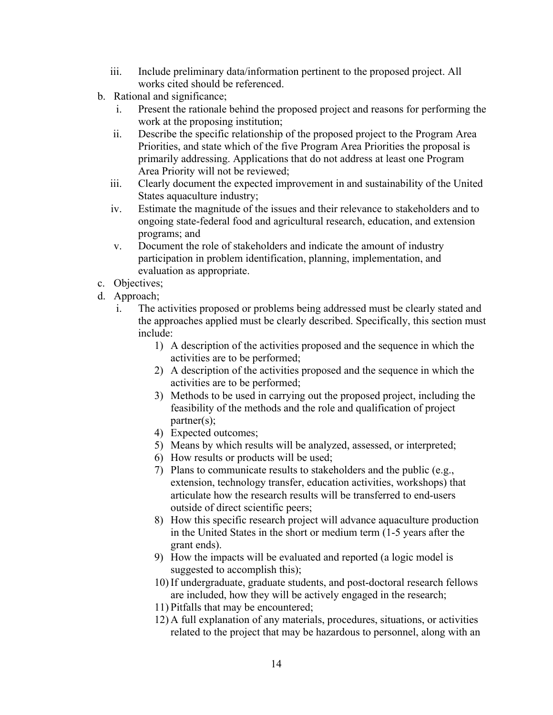- iii. Include preliminary data/information pertinent to the proposed project. All works cited should be referenced.
- b. Rational and significance;
	- i. Present the rationale behind the proposed project and reasons for performing the work at the proposing institution;
	- ii. Describe the specific relationship of the proposed project to the Program Area Priorities, and state which of the five Program Area Priorities the proposal is primarily addressing. Applications that do not address at least one Program Area Priority will not be reviewed;
	- iii. Clearly document the expected improvement in and sustainability of the United States aquaculture industry;
	- iv. Estimate the magnitude of the issues and their relevance to stakeholders and to ongoing state-federal food and agricultural research, education, and extension programs; and
	- v. Document the role of stakeholders and indicate the amount of industry participation in problem identification, planning, implementation, and evaluation as appropriate.
- c. Objectives;
- d. Approach;
	- i. The activities proposed or problems being addressed must be clearly stated and the approaches applied must be clearly described. Specifically, this section must include:
		- 1) A description of the activities proposed and the sequence in which the activities are to be performed;
		- 2) A description of the activities proposed and the sequence in which the activities are to be performed;
		- 3) Methods to be used in carrying out the proposed project, including the feasibility of the methods and the role and qualification of project partner(s);
		- 4) Expected outcomes;
		- 5) Means by which results will be analyzed, assessed, or interpreted;
		- 6) How results or products will be used;
		- 7) Plans to communicate results to stakeholders and the public (e.g., extension, technology transfer, education activities, workshops) that articulate how the research results will be transferred to end-users outside of direct scientific peers;
		- 8) How this specific research project will advance aquaculture production in the United States in the short or medium term (1-5 years after the grant ends).
		- 9) How the impacts will be evaluated and reported (a logic model is suggested to accomplish this);
		- 10) If undergraduate, graduate students, and post-doctoral research fellows are included, how they will be actively engaged in the research;
		- 11) Pitfalls that may be encountered;
		- 12) A full explanation of any materials, procedures, situations, or activities related to the project that may be hazardous to personnel, along with an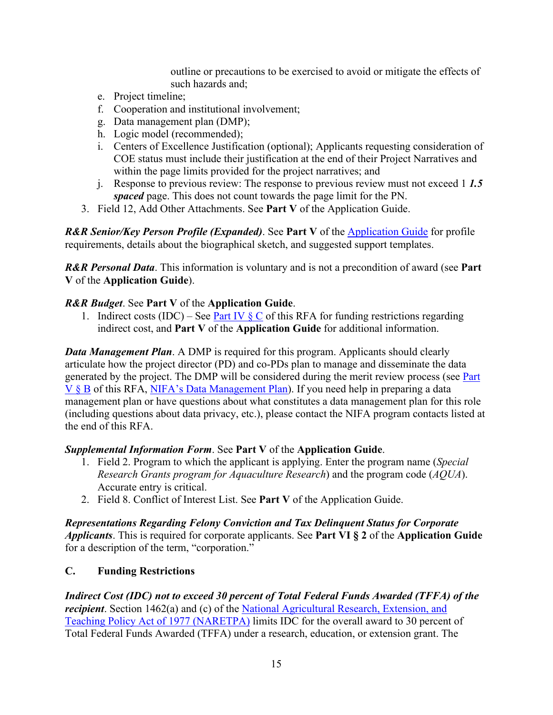outline or precautions to be exercised to avoid or mitigate the effects of such hazards and;

- e. Project timeline;
- f. Cooperation and institutional involvement;
- g. Data management plan (DMP);
- h. Logic model (recommended);
- i. Centers of Excellence Justification (optional); Applicants requesting consideration of COE status must include their justification at the end of their Project Narratives and within the page limits provided for the project narratives; and
- j. Response to previous review: The response to previous review must not exceed 1 *1.5 spaced* page. This does not count towards the page limit for the PN.
- 3. Field 12, Add Other Attachments. See **Part V** of the Application Guide.

**R&R Senior/Key Person Profile (Expanded). See Part V** of the **Application Guide** for profile requirements, details about the biographical sketch, and suggested support templates.

*R&R Personal Data*. This information is voluntary and is not a precondition of award (see **Part V** of the **Application Guide**).

## *R&R Budget*. See **Part V** of the **Application Guide**.

1. Indirect costs (IDC) – See Part IV  $\S$  C of this RFA for funding restrictions regarding indirect cost, and **Part V** of the **Application Guide** for additional information.

*Data Management Plan.* A DMP is required for this program. Applicants should clearly articulate how the project director (PD) and co-PDs plan to manage and disseminate the data generated by the project. The DMP will be considered during the merit review process (see [Part](#page-17-0)  [V § B](#page-17-0) of this RFA, [NIFA's Data Management Plan\)](https://nifa.usda.gov/resource/data-management-plan-nifa-funded-research-projects). If you need help in preparing a data management plan or have questions about what constitutes a data management plan for this role (including questions about data privacy, etc.), please contact the NIFA program contacts listed at the end of this RFA.

#### *Supplemental Information Form*. See **Part V** of the **Application Guide**.

- 1. Field 2. Program to which the applicant is applying. Enter the program name (*Special Research Grants program for Aquaculture Research*) and the program code (*AQUA*). Accurate entry is critical.
- 2. Field 8. Conflict of Interest List. See **Part V** of the Application Guide.

*Representations Regarding Felony Conviction and Tax Delinquent Status for Corporate Applicants*. This is required for corporate applicants. See **Part VI § 2** of the **Application Guide** for a description of the term, "corporation."

## <span id="page-14-0"></span>**C. Funding Restrictions**

*Indirect Cost (IDC) not to exceed 30 percent of Total Federal Funds Awarded (TFFA) of the recipient*. Section 1462(a) and (c) of the National Agricultural Research, Extension, and [Teaching Policy Act of 1977 \(NARETPA\)](https://nifa.usda.gov/sites/default/files/resource/nar77.pdf) limits IDC for the overall award to 30 percent of Total Federal Funds Awarded (TFFA) under a research, education, or extension grant. The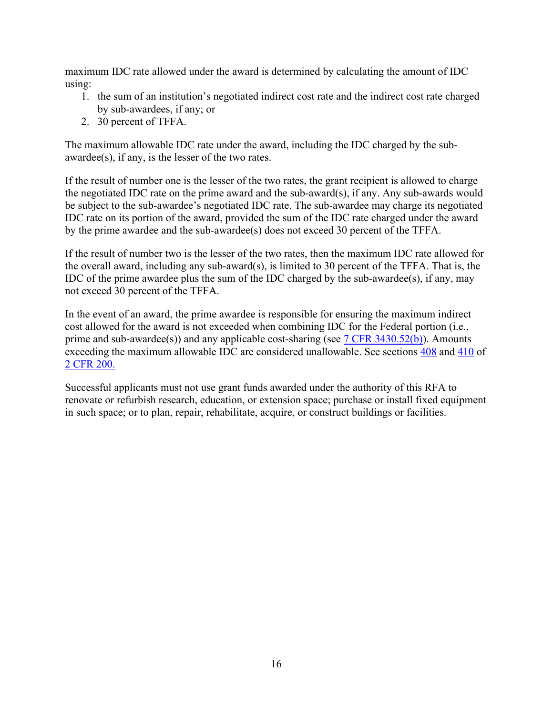maximum IDC rate allowed under the award is determined by calculating the amount of IDC using:

- 1. the sum of an institution's negotiated indirect cost rate and the indirect cost rate charged by sub-awardees, if any; or
- 2. 30 percent of TFFA.

The maximum allowable IDC rate under the award, including the IDC charged by the subawardee(s), if any, is the lesser of the two rates.

If the result of number one is the lesser of the two rates, the grant recipient is allowed to charge the negotiated IDC rate on the prime award and the sub-award(s), if any. Any sub-awards would be subject to the sub-awardee's negotiated IDC rate. The sub-awardee may charge its negotiated IDC rate on its portion of the award, provided the sum of the IDC rate charged under the award by the prime awardee and the sub-awardee(s) does not exceed 30 percent of the TFFA.

If the result of number two is the lesser of the two rates, then the maximum IDC rate allowed for the overall award, including any sub-award(s), is limited to 30 percent of the TFFA. That is, the IDC of the prime awardee plus the sum of the IDC charged by the sub-awardee(s), if any, may not exceed 30 percent of the TFFA.

In the event of an award, the prime awardee is responsible for ensuring the maximum indirect cost allowed for the award is not exceeded when combining IDC for the Federal portion (i.e., prime and sub-awardee(s)) and any applicable cost-sharing (see  $7$  CFR 3430.52(b)). Amounts exceeding the maximum allowable IDC are considered unallowable. See sections [408](https://www.ecfr.gov/cgi-bin/text-idx?SID=99b0d2f1cf782a71783f992ece47bb5a&mc=true&node=pt2.1.200&rgn=div5#se2.1.200_1408) and [410](https://www.ecfr.gov/cgi-bin/text-idx?SID=99b0d2f1cf782a71783f992ece47bb5a&mc=true&node=pt2.1.200&rgn=div5#se2.1.200_1410) of [2 CFR 200.](https://www.ecfr.gov/cgi-bin/text-idx?SID=99b0d2f1cf782a71783f992ece47bb5a&mc=true&node=pt2.1.200&rgn=div5) 

Successful applicants must not use grant funds awarded under the authority of this RFA to renovate or refurbish research, education, or extension space; purchase or install fixed equipment in such space; or to plan, repair, rehabilitate, acquire, or construct buildings or facilities.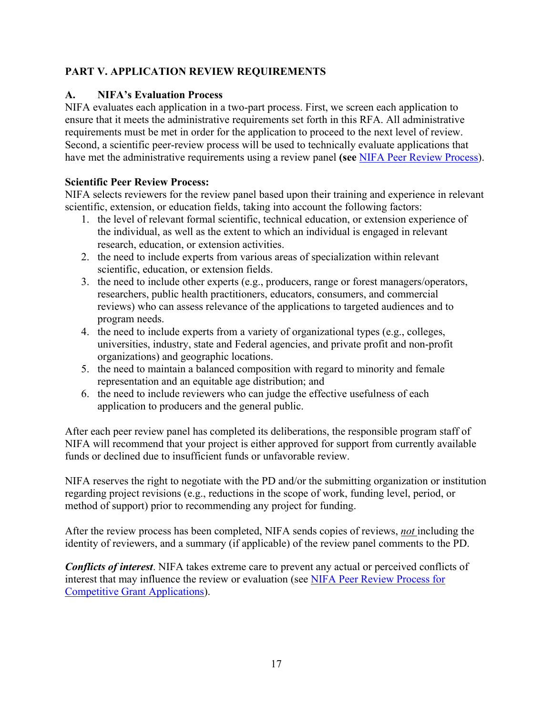## <span id="page-16-0"></span>**PART V. APPLICATION REVIEW REQUIREMENTS**

## <span id="page-16-1"></span>**A. NIFA's Evaluation Process**

NIFA evaluates each application in a two-part process. First, we screen each application to ensure that it meets the administrative requirements set forth in this RFA. All administrative requirements must be met in order for the application to proceed to the next level of review. Second, a scientific peer-review process will be used to technically evaluate applications that have met the administrative requirements using a review panel **(see** [NIFA Peer Review Process\)](https://nifa.usda.gov/sites/default/files/resource/NIFA-Peer-Review-Process-for-Competitive-Grant-Applications_0.pdf).

#### **Scientific Peer Review Process:**

NIFA selects reviewers for the review panel based upon their training and experience in relevant scientific, extension, or education fields, taking into account the following factors:

- 1. the level of relevant formal scientific, technical education, or extension experience of the individual, as well as the extent to which an individual is engaged in relevant research, education, or extension activities.
- 2. the need to include experts from various areas of specialization within relevant scientific, education, or extension fields.
- 3. the need to include other experts (e.g., producers, range or forest managers/operators, researchers, public health practitioners, educators, consumers, and commercial reviews) who can assess relevance of the applications to targeted audiences and to program needs.
- 4. the need to include experts from a variety of organizational types (e.g., colleges, universities, industry, state and Federal agencies, and private profit and non-profit organizations) and geographic locations.
- 5. the need to maintain a balanced composition with regard to minority and female representation and an equitable age distribution; and
- 6. the need to include reviewers who can judge the effective usefulness of each application to producers and the general public.

After each peer review panel has completed its deliberations, the responsible program staff of NIFA will recommend that your project is either approved for support from currently available funds or declined due to insufficient funds or unfavorable review.

NIFA reserves the right to negotiate with the PD and/or the submitting organization or institution regarding project revisions (e.g., reductions in the scope of work, funding level, period, or method of support) prior to recommending any project for funding.

After the review process has been completed, NIFA sends copies of reviews, *not* including the identity of reviewers, and a summary (if applicable) of the review panel comments to the PD.

*Conflicts of interest*. NIFA takes extreme care to prevent any actual or perceived conflicts of interest that may influence the review or evaluation (see [NIFA Peer Review Process for](https://nifa.usda.gov/resource/nifa-peer-review-process-competitive-grant-applications)  [Competitive Grant Applications\)](https://nifa.usda.gov/resource/nifa-peer-review-process-competitive-grant-applications).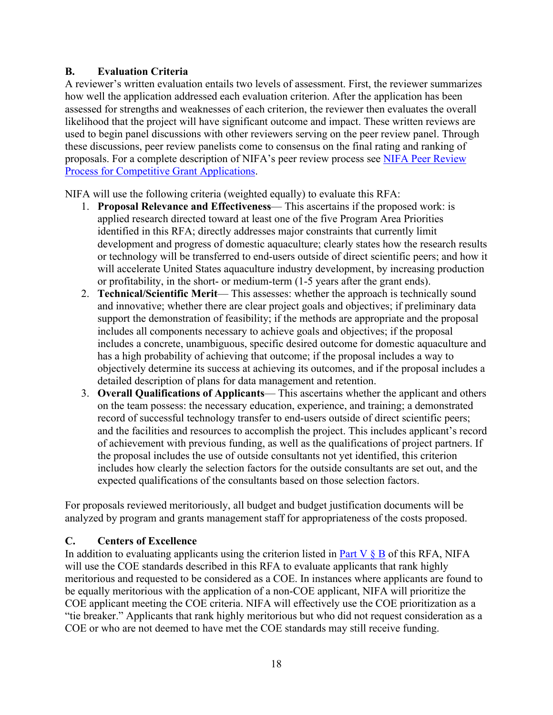#### <span id="page-17-0"></span>**B. Evaluation Criteria**

A reviewer's written evaluation entails two levels of assessment. First, the reviewer summarizes how well the application addressed each evaluation criterion. After the application has been assessed for strengths and weaknesses of each criterion, the reviewer then evaluates the overall likelihood that the project will have significant outcome and impact. These written reviews are used to begin panel discussions with other reviewers serving on the peer review panel. Through these discussions, peer review panelists come to consensus on the final rating and ranking of proposals. For a complete description of NIFA's peer review process see [NIFA Peer Review](https://nifa.usda.gov/resource/nifa-peer-review-process-competitive-grant-applications)  [Process for Competitive Grant Applications.](https://nifa.usda.gov/resource/nifa-peer-review-process-competitive-grant-applications)

NIFA will use the following criteria (weighted equally) to evaluate this RFA:

- 1. **Proposal Relevance and Effectiveness** This ascertains if the proposed work: is applied research directed toward at least one of the five Program Area Priorities identified in this RFA; directly addresses major constraints that currently limit development and progress of domestic aquaculture; clearly states how the research results or technology will be transferred to end-users outside of direct scientific peers; and how it will accelerate United States aquaculture industry development, by increasing production or profitability, in the short- or medium-term (1-5 years after the grant ends).
- 2. **Technical/Scientific Merit** This assesses: whether the approach is technically sound and innovative; whether there are clear project goals and objectives; if preliminary data support the demonstration of feasibility; if the methods are appropriate and the proposal includes all components necessary to achieve goals and objectives; if the proposal includes a concrete, unambiguous, specific desired outcome for domestic aquaculture and has a high probability of achieving that outcome; if the proposal includes a way to objectively determine its success at achieving its outcomes, and if the proposal includes a detailed description of plans for data management and retention.
- 3. **Overall Qualifications of Applicants** This ascertains whether the applicant and others on the team possess: the necessary education, experience, and training; a demonstrated record of successful technology transfer to end-users outside of direct scientific peers; and the facilities and resources to accomplish the project. This includes applicant's record of achievement with previous funding, as well as the qualifications of project partners. If the proposal includes the use of outside consultants not yet identified, this criterion includes how clearly the selection factors for the outside consultants are set out, and the expected qualifications of the consultants based on those selection factors.

For proposals reviewed meritoriously, all budget and budget justification documents will be analyzed by program and grants management staff for appropriateness of the costs proposed.

## <span id="page-17-1"></span>**C. Centers of Excellence**

In addition to evaluating applicants using the criterion listed in **Part V**  $\S$  **B** of this RFA, NIFA will use the COE standards described in this RFA to evaluate applicants that rank highly meritorious and requested to be considered as a COE. In instances where applicants are found to be equally meritorious with the application of a non-COE applicant, NIFA will prioritize the COE applicant meeting the COE criteria. NIFA will effectively use the COE prioritization as a "tie breaker." Applicants that rank highly meritorious but who did not request consideration as a COE or who are not deemed to have met the COE standards may still receive funding.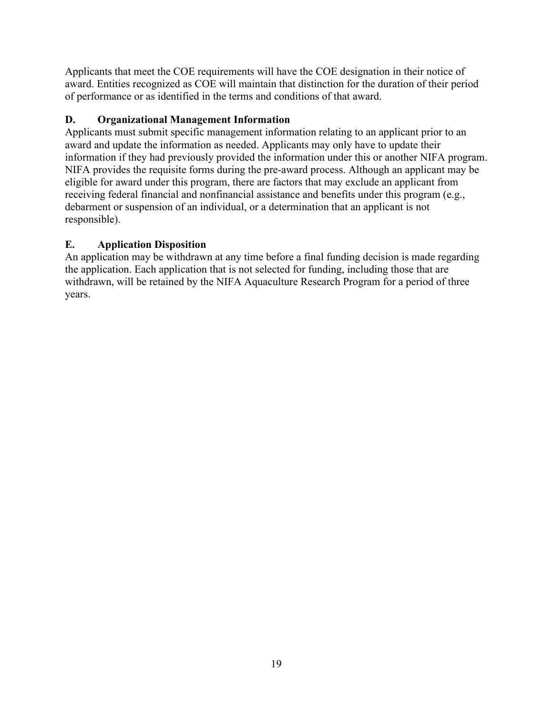Applicants that meet the COE requirements will have the COE designation in their notice of award. Entities recognized as COE will maintain that distinction for the duration of their period of performance or as identified in the terms and conditions of that award.

## <span id="page-18-0"></span>**D. Organizational Management Information**

Applicants must submit specific management information relating to an applicant prior to an award and update the information as needed. Applicants may only have to update their information if they had previously provided the information under this or another NIFA program. NIFA provides the requisite forms during the pre-award process. Although an applicant may be eligible for award under this program, there are factors that may exclude an applicant from receiving federal financial and nonfinancial assistance and benefits under this program (e.g., debarment or suspension of an individual, or a determination that an applicant is not responsible).

## <span id="page-18-1"></span>**E. Application Disposition**

An application may be withdrawn at any time before a final funding decision is made regarding the application. Each application that is not selected for funding, including those that are withdrawn, will be retained by the NIFA Aquaculture Research Program for a period of three years.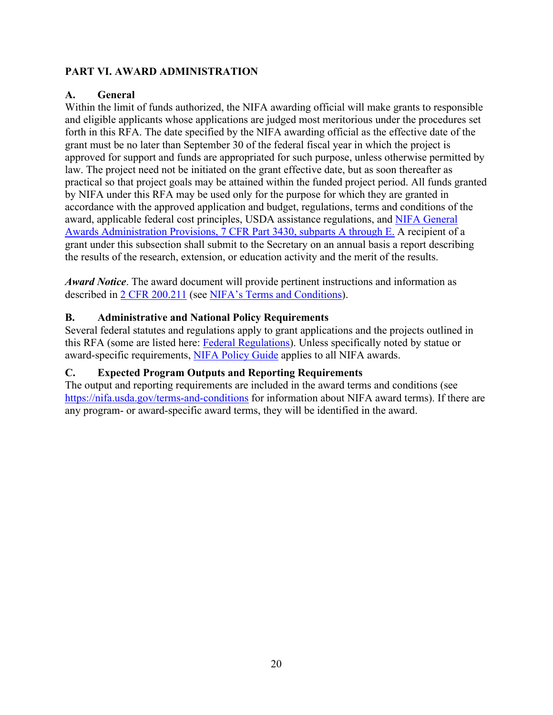## <span id="page-19-0"></span>**PART VI. AWARD ADMINISTRATION**

## <span id="page-19-1"></span>**A. General**

Within the limit of funds authorized, the NIFA awarding official will make grants to responsible and eligible applicants whose applications are judged most meritorious under the procedures set forth in this RFA. The date specified by the NIFA awarding official as the effective date of the grant must be no later than September 30 of the federal fiscal year in which the project is approved for support and funds are appropriated for such purpose, unless otherwise permitted by law. The project need not be initiated on the grant effective date, but as soon thereafter as practical so that project goals may be attained within the funded project period. All funds granted by NIFA under this RFA may be used only for the purpose for which they are granted in accordance with the approved application and budget, regulations, terms and conditions of the award, applicable federal cost principles, USDA assistance regulations, and [NIFA General](https://www.ecfr.gov/cgi-bin/text-idx?SID=1a74011311d649ff6313ca273791b131&mc=true&node=pt7.15.3430&rgn=div5)  [Awards Administration Provisions, 7 CFR Part 3430, subparts A through E.](https://www.ecfr.gov/cgi-bin/text-idx?SID=1a74011311d649ff6313ca273791b131&mc=true&node=pt7.15.3430&rgn=div5) A recipient of a grant under this subsection shall submit to the Secretary on an annual basis a report describing the results of the research, extension, or education activity and the merit of the results.

*Award Notice*. The award document will provide pertinent instructions and information as described in [2 CFR 200.211](https://www.ecfr.gov/cgi-bin/retrieveECFR?gp=&SID=c44a1f8f16917d78ba5ba676eac5fdc3&mc=true&r=SECTION&n=se2.1.200_1211) (see [NIFA's Terms and Conditions\)](https://nifa.usda.gov/terms-and-conditions).

#### <span id="page-19-2"></span>**B. Administrative and National Policy Requirements**

Several federal statutes and regulations apply to grant applications and the projects outlined in this RFA (some are listed here: [Federal Regulations\)](https://nifa.usda.gov/federal-regulations). Unless specifically noted by statue or award-specific requirements, [NIFA Policy Guide](https://nifa.usda.gov/policy-guide) applies to all NIFA awards.

#### <span id="page-19-3"></span>**C. Expected Program Outputs and Reporting Requirements**

The output and reporting requirements are included in the award terms and conditions (see <https://nifa.usda.gov/terms-and-conditions> for information about NIFA award terms). If there are any program- or award-specific award terms, they will be identified in the award.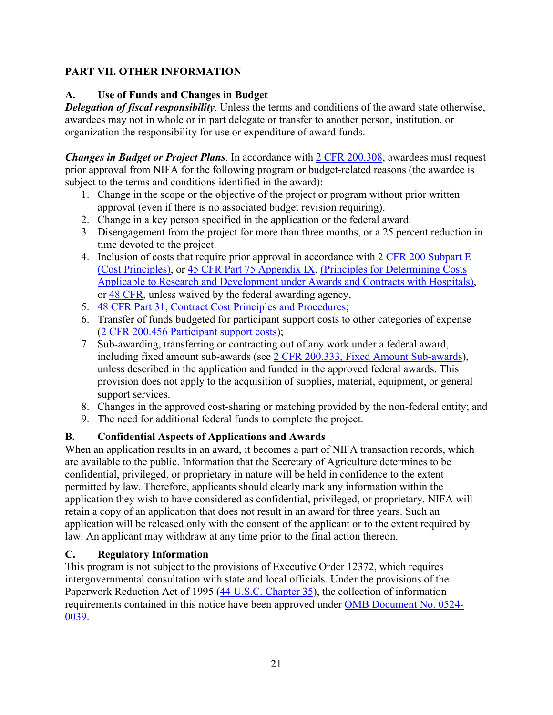## <span id="page-20-0"></span>**PART VII. OTHER INFORMATION**

## <span id="page-20-1"></span>**A. Use of Funds and Changes in Budget**

*Delegation of fiscal responsibility.* Unless the terms and conditions of the award state otherwise, awardees may not in whole or in part delegate or transfer to another person, institution, or organization the responsibility for use or expenditure of award funds.

*Changes in Budget or Project Plans*. In accordance with [2 CFR 200.308,](https://www.ecfr.gov/cgi-bin/text-idx?SID=3af89506559b05297e7d0334cb283e24&mc=true&node=se2.1.200_1308&rgn=div8) awardees must request prior approval from NIFA for the following program or budget-related reasons (the awardee is subject to the terms and conditions identified in the award):

- 1. Change in the scope or the objective of the project or program without prior written approval (even if there is no associated budget revision requiring).
- 2. Change in a key person specified in the application or the federal award.
- 3. Disengagement from the project for more than three months, or a 25 percent reduction in time devoted to the project.
- 4. Inclusion of costs that require prior approval in accordance with [2 CFR 200 Subpart E](https://www.ecfr.gov/cgi-bin/text-idx?SID=dc069d42776cd3451f66232d56026057&mc=true&node=pt2.1.200&rgn=div5#sp2.1.200.e)  [\(Cost Principles\),](https://www.ecfr.gov/cgi-bin/text-idx?SID=dc069d42776cd3451f66232d56026057&mc=true&node=pt2.1.200&rgn=div5#sp2.1.200.e) or [45 CFR Part 75 Appendix IX,](https://www.ecfr.gov/cgi-bin/text-idx?node=pt45.1.75#ap45.1.75_1521.ix) [\(Principles for Determining Costs](https://www.ecfr.gov/cgi-bin/text-idx?node=pt45.1.75#ap45.1.75_1521.ix)  [Applicable to Research and Development under Awards and Contracts with Hospitals\)](https://www.ecfr.gov/cgi-bin/text-idx?node=pt45.1.75#ap45.1.75_1521.ix), or [48 CFR,](https://www.ecfr.gov/cgi-bin/text-idx?SID=4d9d83a5cef52c19c5ff83421fa48a4b&mc=true&tpl=/ecfrbrowse/Title48/48tab_02.tpl) unless waived by the federal awarding agency,
- 5. [48 CFR Part 31, Contract Cost Principles and Procedures;](https://www.ecfr.gov/cgi-bin/text-idx?SID=4d9d83a5cef52c19c5ff83421fa48a4b&mc=true&node=pt48.1.31&rgn=div5)
- 6. Transfer of funds budgeted for participant support costs to other categories of expense [\(2 CFR 200.456 Participant support costs\)](https://www.ecfr.gov/cgi-bin/text-idx?SID=875f7422535a157681c65d5ff44deb32&mc=true&node=pt2.1.200&rgn=div5#se2.1.200_1456);
- 7. Sub-awarding, transferring or contracting out of any work under a federal award, including fixed amount sub-awards (see [2 CFR 200.333, Fixed Amount Sub-awards\)](https://www.ecfr.gov/cgi-bin/text-idx?SID=9eaf9554e1f32bf0d83aca55646e9b7e&mc=true&node=pt2.1.200&rgn=div5#se2.1.200_1333), unless described in the application and funded in the approved federal awards. This provision does not apply to the acquisition of supplies, material, equipment, or general support services.
- 8. Changes in the approved cost-sharing or matching provided by the non-federal entity; and
- 9. The need for additional federal funds to complete the project.

## <span id="page-20-2"></span>**B. Confidential Aspects of Applications and Awards**

When an application results in an award, it becomes a part of NIFA transaction records, which are available to the public. Information that the Secretary of Agriculture determines to be confidential, privileged, or proprietary in nature will be held in confidence to the extent permitted by law. Therefore, applicants should clearly mark any information within the application they wish to have considered as confidential, privileged, or proprietary. NIFA will retain a copy of an application that does not result in an award for three years. Such an application will be released only with the consent of the applicant or to the extent required by law. An applicant may withdraw at any time prior to the final action thereon.

#### <span id="page-20-3"></span>**C. Regulatory Information**

This program is not subject to the provisions of [Executive Order 12372,](https://www.fws.gov/policy/library/rgeo12372.pdf) which requires intergovernmental consultation with state and local officials. Under the provisions of the [Paperwork Reduction Act of 1995](https://www.reginfo.gov/public/reginfo/pra.pdf) [\(44 U.S.C. Chapter 35\)](http://uscode.house.gov/view.xhtml?path=/prelim@title44/chapter35&edition=prelim), the collection of information requirements contained in this notice have been approved under [OMB Document No. 0524-](https://www.federalregister.gov/documents/2018/10/29/2018-23552/submission-for-omb-review-comment-request) [0039.](https://www.federalregister.gov/documents/2018/10/29/2018-23552/submission-for-omb-review-comment-request)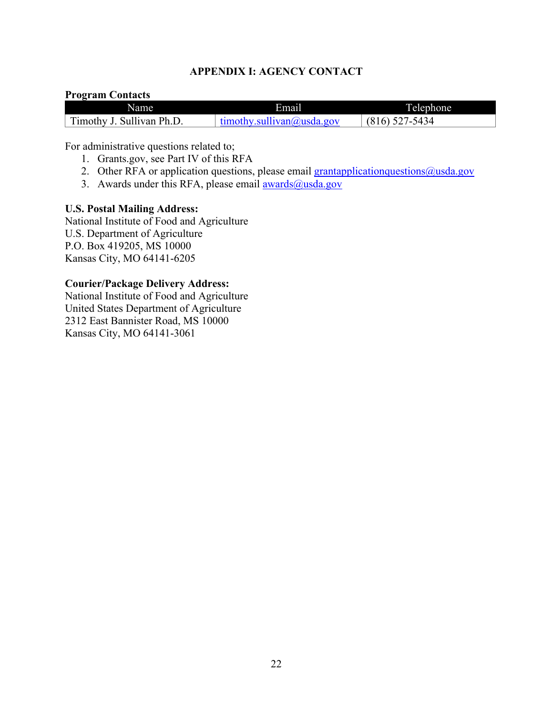#### **APPENDIX I: AGENCY CONTACT**

#### <span id="page-21-0"></span>**Program Contacts**

| Name                      | Email                                | Telephone |
|---------------------------|--------------------------------------|-----------|
| Timothy J. Sullivan Ph.D. | $t$ mothy.sullivan $\omega$ usda.gov | 1-5434    |

For administrative questions related to;

- 1. Grants.gov, see Part IV of this RFA
- 2. Other RFA or application questions, please email  $\frac{grantapplication questions@usda.gov}$
- 3. Awards under this RFA, please email  $\frac{awards(0) \text{usda.gov}}{awards(1)}$

#### **U.S. Postal Mailing Address:**

National Institute of Food and Agriculture U.S. Department of Agriculture P.O. Box 419205, MS 10000 Kansas City, MO 64141-6205

#### **Courier/Package Delivery Address:**

National Institute of Food and Agriculture United States Department of Agriculture 2312 East Bannister Road, MS 10000 Kansas City, MO 64141-3061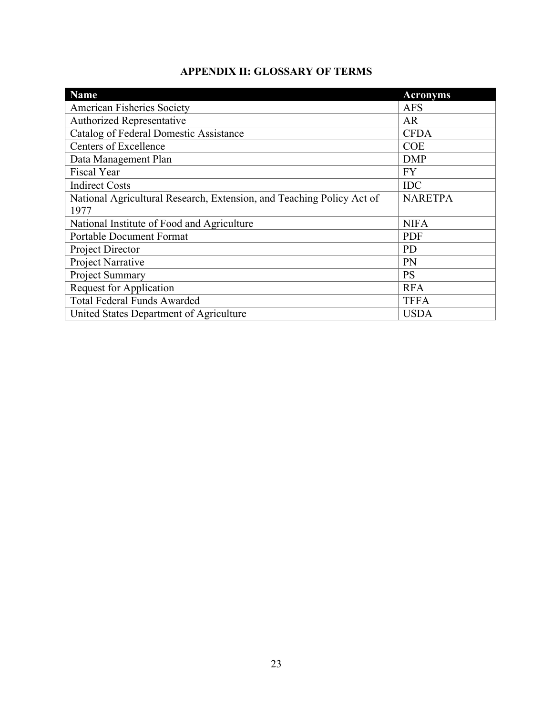# **APPENDIX II: GLOSSARY OF TERMS**

<span id="page-22-0"></span>

| <b>Name</b>                                                           | <b>Acronyms</b> |
|-----------------------------------------------------------------------|-----------------|
| <b>American Fisheries Society</b>                                     | <b>AFS</b>      |
| <b>Authorized Representative</b>                                      | <b>AR</b>       |
| Catalog of Federal Domestic Assistance                                | <b>CFDA</b>     |
| <b>Centers of Excellence</b>                                          | <b>COE</b>      |
| Data Management Plan                                                  | <b>DMP</b>      |
| <b>Fiscal Year</b>                                                    | <b>FY</b>       |
| <b>Indirect Costs</b>                                                 | <b>IDC</b>      |
| National Agricultural Research, Extension, and Teaching Policy Act of | <b>NARETPA</b>  |
| 1977                                                                  |                 |
| National Institute of Food and Agriculture                            | <b>NIFA</b>     |
| <b>Portable Document Format</b>                                       | <b>PDF</b>      |
| Project Director                                                      | <b>PD</b>       |
| Project Narrative                                                     | PN              |
| Project Summary                                                       | <b>PS</b>       |
| <b>Request for Application</b>                                        | <b>RFA</b>      |
| <b>Total Federal Funds Awarded</b>                                    | <b>TFFA</b>     |
| United States Department of Agriculture                               | <b>USDA</b>     |